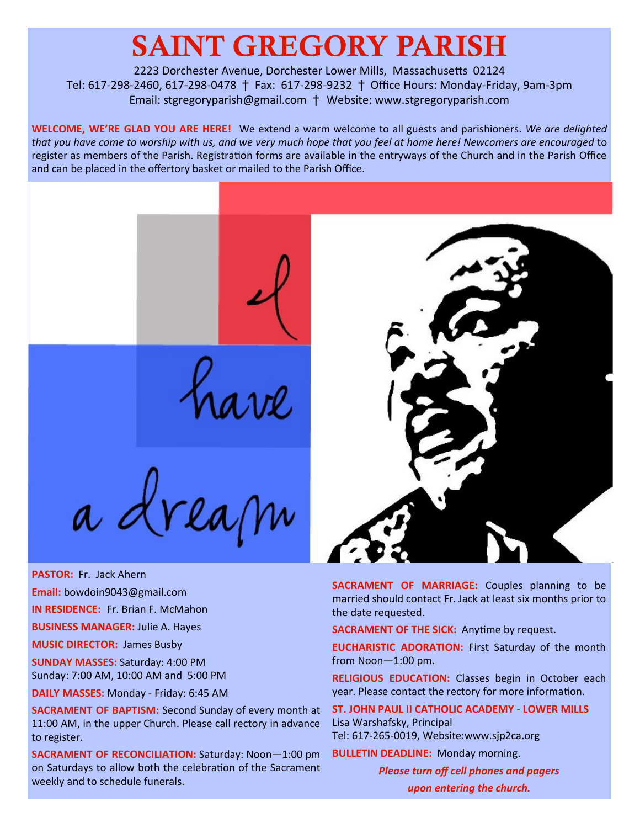# SAINT GREGORY PARISH

2223 Dorchester Avenue, Dorchester Lower Mills, Massachusetts 02124 Tel: 617-298-2460, 617-298-0478 † Fax: 617-298-9232 † Office Hours: Monday-Friday, 9am-3pm Email: stgregoryparish@gmail.com † Website: www.stgregoryparish.com

**WELCOME, WE'RE GLAD YOU ARE HERE!** We extend a warm welcome to all guests and parishioners. *We are delighted that you have come to worship with us, and we very much hope that you feel at home here! Newcomers are encouraged* to register as members of the Parish. Registration forms are available in the entryways of the Church and in the Parish Office and can be placed in the offertory basket or mailed to the Parish Office.

a dream

**PASTOR:** Fr. Jack Ahern

**Email:** bowdoin9043@gmail.com

**IN RESIDENCE:** Fr. Brian F. McMahon

**BUSINESS MANAGER:** Julie A. Hayes

**MUSIC DIRECTOR:** James Busby

**SUNDAY MASSES:** Saturday: 4:00 PM Sunday: 7:00 AM, 10:00 AM and 5:00 PM

**DAILY MASSES:** Monday - Friday: 6:45 AM

**SACRAMENT OF BAPTISM:** Second Sunday of every month at 11:00 AM, in the upper Church. Please call rectory in advance to register.

**SACRAMENT OF RECONCILIATION:** Saturday: Noon—1:00 pm on Saturdays to allow both the celebration of the Sacrament weekly and to schedule funerals.



**SACRAMENT OF MARRIAGE:** Couples planning to be married should contact Fr. Jack at least six months prior to the date requested.

**SACRAMENT OF THE SICK:** Anytime by request.

**EUCHARISTIC ADORATION:** First Saturday of the month from Noon—1:00 pm.

**RELIGIOUS EDUCATION:** Classes begin in October each year. Please contact the rectory for more information.

**ST. JOHN PAUL II CATHOLIC ACADEMY - LOWER MILLS** Lisa Warshafsky, Principal Tel: 617-265-0019, Website:www.sjp2ca.org

**BULLETIN DEADLINE:** Monday morning.

*Please turn off cell phones and pagers upon entering the church.*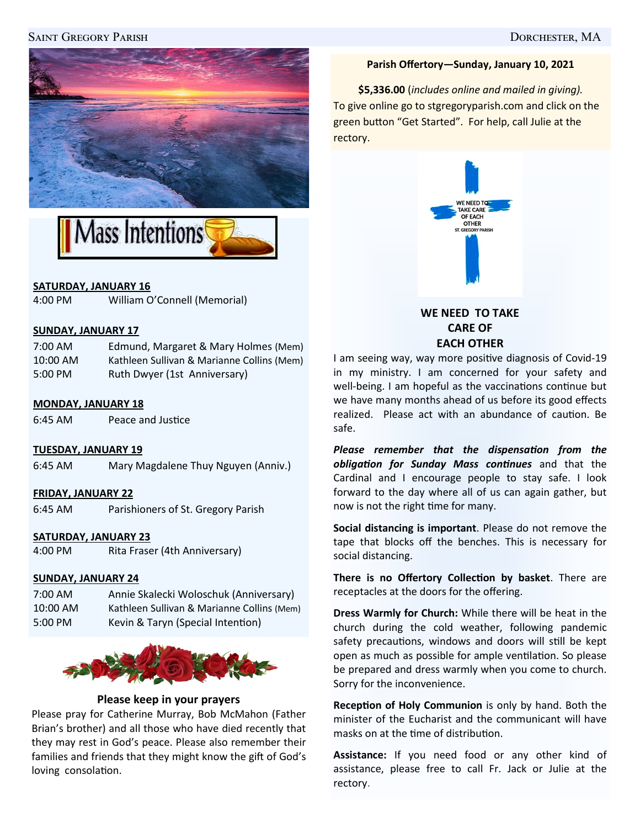# Saint Gregory Parish Dorchester, MA





# **SATURDAY, JANUARY 16**

4:00 PM William O'Connell (Memorial)

# **SUNDAY, JANUARY 17**

| $7:00 \text{ AM}$ | Edmund, Margaret & Mary Holmes (Mem)       |
|-------------------|--------------------------------------------|
| $10:00$ AM        | Kathleen Sullivan & Marianne Collins (Mem) |
| 5:00 PM           | Ruth Dwyer (1st Anniversary)               |

#### **MONDAY, JANUARY 18**

6:45 AM Peace and Justice

#### **TUESDAY, JANUARY 19**

6:45 AM Mary Magdalene Thuy Nguyen (Anniv.)

#### **FRIDAY, JANUARY 22**

6:45 AM Parishioners of St. Gregory Parish

#### **SATURDAY, JANUARY 23**

4:00 PM Rita Fraser (4th Anniversary)

# **SUNDAY, JANUARY 24**

7:00 AM Annie Skalecki Woloschuk (Anniversary) 10:00 AM Kathleen Sullivan & Marianne Collins (Mem) 5:00 PM Kevin & Taryn (Special Intention)



#### **Please keep in your prayers**

Please pray for Catherine Murray, Bob McMahon (Father Brian's brother) and all those who have died recently that they may rest in God's peace. Please also remember their families and friends that they might know the gift of God's loving consolation.

#### **Parish Offertory—Sunday, January 10, 2021**

**\$5,336.00** (*includes online and mailed in giving).* To give online go to stgregoryparish.com and click on the green button "Get Started". For help, call Julie at the rectory.



**WE NEED TO TAKE CARE OF EACH OTHER**

I am seeing way, way more positive diagnosis of Covid-19 in my ministry. I am concerned for your safety and well-being. I am hopeful as the vaccinations continue but we have many months ahead of us before its good effects realized. Please act with an abundance of caution. Be safe.

*Please remember that the dispensation from the obligation for Sunday Mass continues* and that the Cardinal and I encourage people to stay safe. I look forward to the day where all of us can again gather, but now is not the right time for many.

**Social distancing is important**. Please do not remove the tape that blocks off the benches. This is necessary for social distancing.

**There is no Offertory Collection by basket**. There are receptacles at the doors for the offering.

**Dress Warmly for Church:** While there will be heat in the church during the cold weather, following pandemic safety precautions, windows and doors will still be kept open as much as possible for ample ventilation. So please be prepared and dress warmly when you come to church. Sorry for the inconvenience.

**Reception of Holy Communion** is only by hand. Both the minister of the Eucharist and the communicant will have masks on at the time of distribution.

**Assistance:** If you need food or any other kind of assistance, please free to call Fr. Jack or Julie at the rectory.